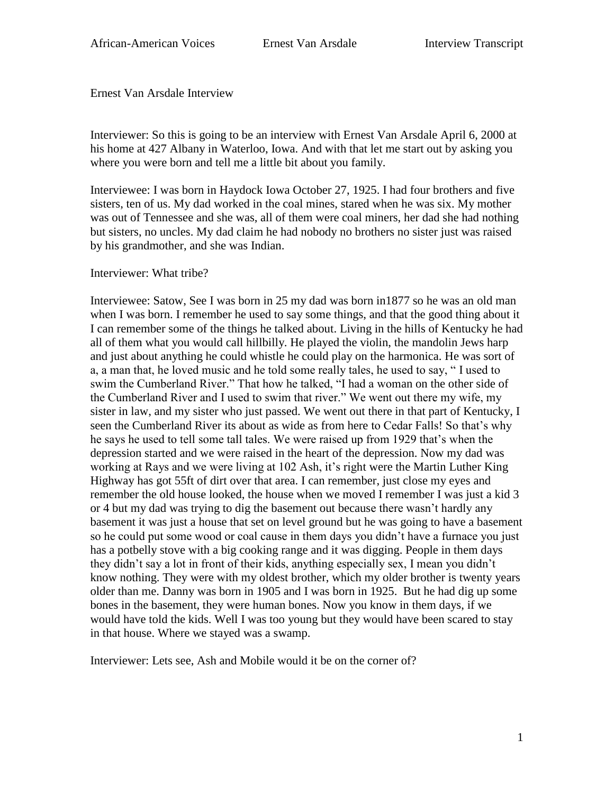Ernest Van Arsdale Interview

Interviewer: So this is going to be an interview with Ernest Van Arsdale April 6, 2000 at his home at 427 Albany in Waterloo, Iowa. And with that let me start out by asking you where you were born and tell me a little bit about you family.

Interviewee: I was born in Haydock Iowa October 27, 1925. I had four brothers and five sisters, ten of us. My dad worked in the coal mines, stared when he was six. My mother was out of Tennessee and she was, all of them were coal miners, her dad she had nothing but sisters, no uncles. My dad claim he had nobody no brothers no sister just was raised by his grandmother, and she was Indian.

Interviewer: What tribe?

Interviewee: Satow, See I was born in 25 my dad was born in1877 so he was an old man when I was born. I remember he used to say some things, and that the good thing about it I can remember some of the things he talked about. Living in the hills of Kentucky he had all of them what you would call hillbilly. He played the violin, the mandolin Jews harp and just about anything he could whistle he could play on the harmonica. He was sort of a, a man that, he loved music and he told some really tales, he used to say, " I used to swim the Cumberland River." That how he talked, "I had a woman on the other side of the Cumberland River and I used to swim that river." We went out there my wife, my sister in law, and my sister who just passed. We went out there in that part of Kentucky, I seen the Cumberland River its about as wide as from here to Cedar Falls! So that's why he says he used to tell some tall tales. We were raised up from 1929 that's when the depression started and we were raised in the heart of the depression. Now my dad was working at Rays and we were living at 102 Ash, it's right were the Martin Luther King Highway has got 55ft of dirt over that area. I can remember, just close my eyes and remember the old house looked, the house when we moved I remember I was just a kid 3 or 4 but my dad was trying to dig the basement out because there wasn't hardly any basement it was just a house that set on level ground but he was going to have a basement so he could put some wood or coal cause in them days you didn't have a furnace you just has a potbelly stove with a big cooking range and it was digging. People in them days they didn't say a lot in front of their kids, anything especially sex, I mean you didn't know nothing. They were with my oldest brother, which my older brother is twenty years older than me. Danny was born in 1905 and I was born in 1925. But he had dig up some bones in the basement, they were human bones. Now you know in them days, if we would have told the kids. Well I was too young but they would have been scared to stay in that house. Where we stayed was a swamp.

Interviewer: Lets see, Ash and Mobile would it be on the corner of?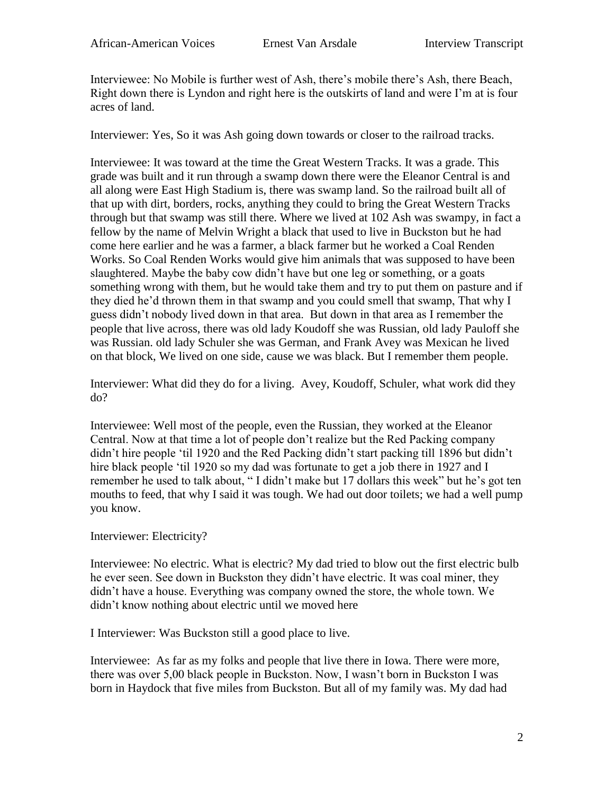Interviewee: No Mobile is further west of Ash, there's mobile there's Ash, there Beach, Right down there is Lyndon and right here is the outskirts of land and were I'm at is four acres of land.

Interviewer: Yes, So it was Ash going down towards or closer to the railroad tracks.

Interviewee: It was toward at the time the Great Western Tracks. It was a grade. This grade was built and it run through a swamp down there were the Eleanor Central is and all along were East High Stadium is, there was swamp land. So the railroad built all of that up with dirt, borders, rocks, anything they could to bring the Great Western Tracks through but that swamp was still there. Where we lived at 102 Ash was swampy, in fact a fellow by the name of Melvin Wright a black that used to live in Buckston but he had come here earlier and he was a farmer, a black farmer but he worked a Coal Renden Works. So Coal Renden Works would give him animals that was supposed to have been slaughtered. Maybe the baby cow didn't have but one leg or something, or a goats something wrong with them, but he would take them and try to put them on pasture and if they died he'd thrown them in that swamp and you could smell that swamp, That why I guess didn't nobody lived down in that area. But down in that area as I remember the people that live across, there was old lady Koudoff she was Russian, old lady Pauloff she was Russian. old lady Schuler she was German, and Frank Avey was Mexican he lived on that block, We lived on one side, cause we was black. But I remember them people.

Interviewer: What did they do for a living. Avey, Koudoff, Schuler, what work did they do?

Interviewee: Well most of the people, even the Russian, they worked at the Eleanor Central. Now at that time a lot of people don't realize but the Red Packing company didn't hire people 'til 1920 and the Red Packing didn't start packing till 1896 but didn't hire black people 'til 1920 so my dad was fortunate to get a job there in 1927 and I remember he used to talk about, " I didn't make but 17 dollars this week" but he's got ten mouths to feed, that why I said it was tough. We had out door toilets; we had a well pump you know.

## Interviewer: Electricity?

Interviewee: No electric. What is electric? My dad tried to blow out the first electric bulb he ever seen. See down in Buckston they didn't have electric. It was coal miner, they didn't have a house. Everything was company owned the store, the whole town. We didn't know nothing about electric until we moved here

I Interviewer: Was Buckston still a good place to live.

Interviewee: As far as my folks and people that live there in Iowa. There were more, there was over 5,00 black people in Buckston. Now, I wasn't born in Buckston I was born in Haydock that five miles from Buckston. But all of my family was. My dad had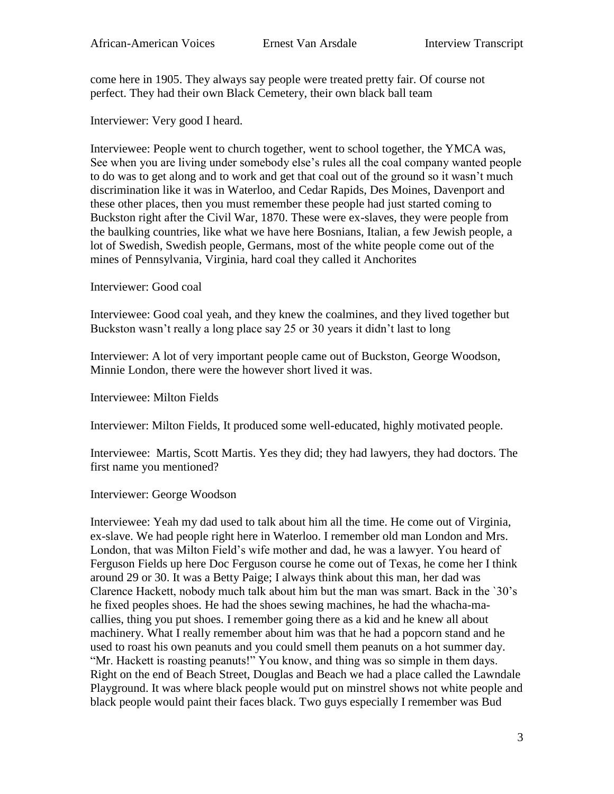come here in 1905. They always say people were treated pretty fair. Of course not perfect. They had their own Black Cemetery, their own black ball team

Interviewer: Very good I heard.

Interviewee: People went to church together, went to school together, the YMCA was, See when you are living under somebody else's rules all the coal company wanted people to do was to get along and to work and get that coal out of the ground so it wasn't much discrimination like it was in Waterloo, and Cedar Rapids, Des Moines, Davenport and these other places, then you must remember these people had just started coming to Buckston right after the Civil War, 1870. These were ex-slaves, they were people from the baulking countries, like what we have here Bosnians, Italian, a few Jewish people, a lot of Swedish, Swedish people, Germans, most of the white people come out of the mines of Pennsylvania, Virginia, hard coal they called it Anchorites

Interviewer: Good coal

Interviewee: Good coal yeah, and they knew the coalmines, and they lived together but Buckston wasn't really a long place say 25 or 30 years it didn't last to long

Interviewer: A lot of very important people came out of Buckston, George Woodson, Minnie London, there were the however short lived it was.

Interviewee: Milton Fields

Interviewer: Milton Fields, It produced some well-educated, highly motivated people.

Interviewee: Martis, Scott Martis. Yes they did; they had lawyers, they had doctors. The first name you mentioned?

Interviewer: George Woodson

Interviewee: Yeah my dad used to talk about him all the time. He come out of Virginia, ex-slave. We had people right here in Waterloo. I remember old man London and Mrs. London, that was Milton Field's wife mother and dad, he was a lawyer. You heard of Ferguson Fields up here Doc Ferguson course he come out of Texas, he come her I think around 29 or 30. It was a Betty Paige; I always think about this man, her dad was Clarence Hackett, nobody much talk about him but the man was smart. Back in the `30's he fixed peoples shoes. He had the shoes sewing machines, he had the whacha-macallies, thing you put shoes. I remember going there as a kid and he knew all about machinery. What I really remember about him was that he had a popcorn stand and he used to roast his own peanuts and you could smell them peanuts on a hot summer day. "Mr. Hackett is roasting peanuts!" You know, and thing was so simple in them days. Right on the end of Beach Street, Douglas and Beach we had a place called the Lawndale Playground. It was where black people would put on minstrel shows not white people and black people would paint their faces black. Two guys especially I remember was Bud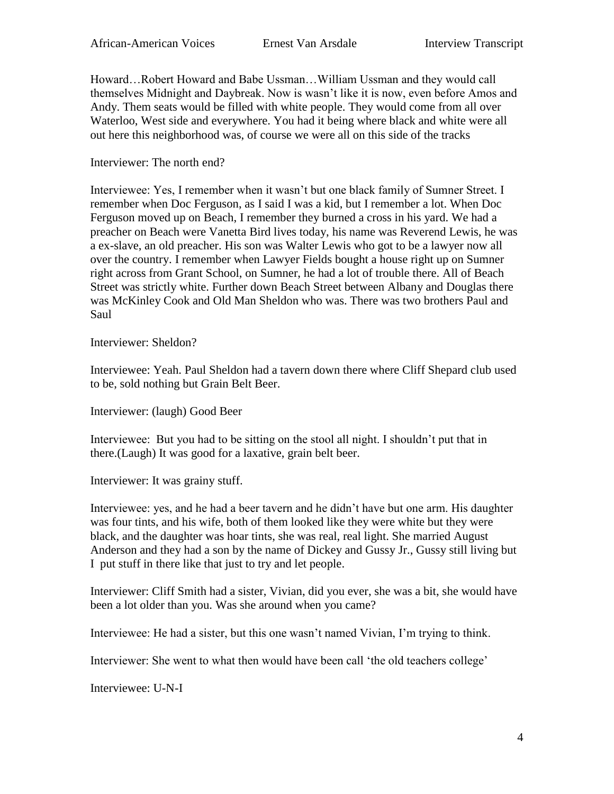Howard…Robert Howard and Babe Ussman…William Ussman and they would call themselves Midnight and Daybreak. Now is wasn't like it is now, even before Amos and Andy. Them seats would be filled with white people. They would come from all over Waterloo, West side and everywhere. You had it being where black and white were all out here this neighborhood was, of course we were all on this side of the tracks

Interviewer: The north end?

Interviewee: Yes, I remember when it wasn't but one black family of Sumner Street. I remember when Doc Ferguson, as I said I was a kid, but I remember a lot. When Doc Ferguson moved up on Beach, I remember they burned a cross in his yard. We had a preacher on Beach were Vanetta Bird lives today, his name was Reverend Lewis, he was a ex-slave, an old preacher. His son was Walter Lewis who got to be a lawyer now all over the country. I remember when Lawyer Fields bought a house right up on Sumner right across from Grant School, on Sumner, he had a lot of trouble there. All of Beach Street was strictly white. Further down Beach Street between Albany and Douglas there was McKinley Cook and Old Man Sheldon who was. There was two brothers Paul and Saul

Interviewer: Sheldon?

Interviewee: Yeah. Paul Sheldon had a tavern down there where Cliff Shepard club used to be, sold nothing but Grain Belt Beer.

Interviewer: (laugh) Good Beer

Interviewee: But you had to be sitting on the stool all night. I shouldn't put that in there.(Laugh) It was good for a laxative, grain belt beer.

Interviewer: It was grainy stuff.

Interviewee: yes, and he had a beer tavern and he didn't have but one arm. His daughter was four tints, and his wife, both of them looked like they were white but they were black, and the daughter was hoar tints, she was real, real light. She married August Anderson and they had a son by the name of Dickey and Gussy Jr., Gussy still living but I put stuff in there like that just to try and let people.

Interviewer: Cliff Smith had a sister, Vivian, did you ever, she was a bit, she would have been a lot older than you. Was she around when you came?

Interviewee: He had a sister, but this one wasn't named Vivian, I'm trying to think.

Interviewer: She went to what then would have been call 'the old teachers college'

Interviewee: U-N-I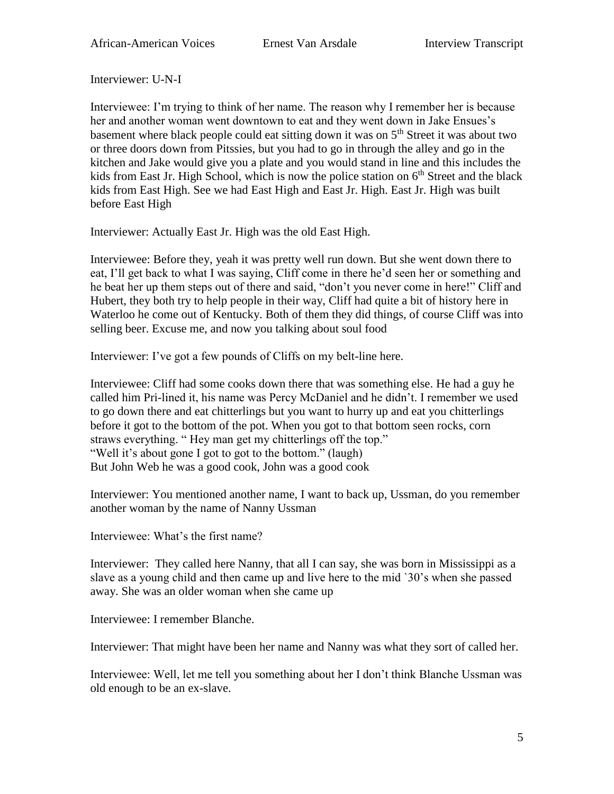Interviewer: U-N-I

Interviewee: I'm trying to think of her name. The reason why I remember her is because her and another woman went downtown to eat and they went down in Jake Ensues's basement where black people could eat sitting down it was on 5<sup>th</sup> Street it was about two or three doors down from Pitssies, but you had to go in through the alley and go in the kitchen and Jake would give you a plate and you would stand in line and this includes the kids from East Jr. High School, which is now the police station on  $6<sup>th</sup>$  Street and the black kids from East High. See we had East High and East Jr. High. East Jr. High was built before East High

Interviewer: Actually East Jr. High was the old East High.

Interviewee: Before they, yeah it was pretty well run down. But she went down there to eat, I'll get back to what I was saying, Cliff come in there he'd seen her or something and he beat her up them steps out of there and said, "don't you never come in here!" Cliff and Hubert, they both try to help people in their way, Cliff had quite a bit of history here in Waterloo he come out of Kentucky. Both of them they did things, of course Cliff was into selling beer. Excuse me, and now you talking about soul food

Interviewer: I've got a few pounds of Cliffs on my belt-line here.

Interviewee: Cliff had some cooks down there that was something else. He had a guy he called him Pri-lined it, his name was Percy McDaniel and he didn't. I remember we used to go down there and eat chitterlings but you want to hurry up and eat you chitterlings before it got to the bottom of the pot. When you got to that bottom seen rocks, corn straws everything. " Hey man get my chitterlings off the top." "Well it's about gone I got to got to the bottom." (laugh) But John Web he was a good cook, John was a good cook

Interviewer: You mentioned another name, I want to back up, Ussman, do you remember another woman by the name of Nanny Ussman

Interviewee: What's the first name?

Interviewer: They called here Nanny, that all I can say, she was born in Mississippi as a slave as a young child and then came up and live here to the mid `30's when she passed away. She was an older woman when she came up

Interviewee: I remember Blanche.

Interviewer: That might have been her name and Nanny was what they sort of called her.

Interviewee: Well, let me tell you something about her I don't think Blanche Ussman was old enough to be an ex-slave.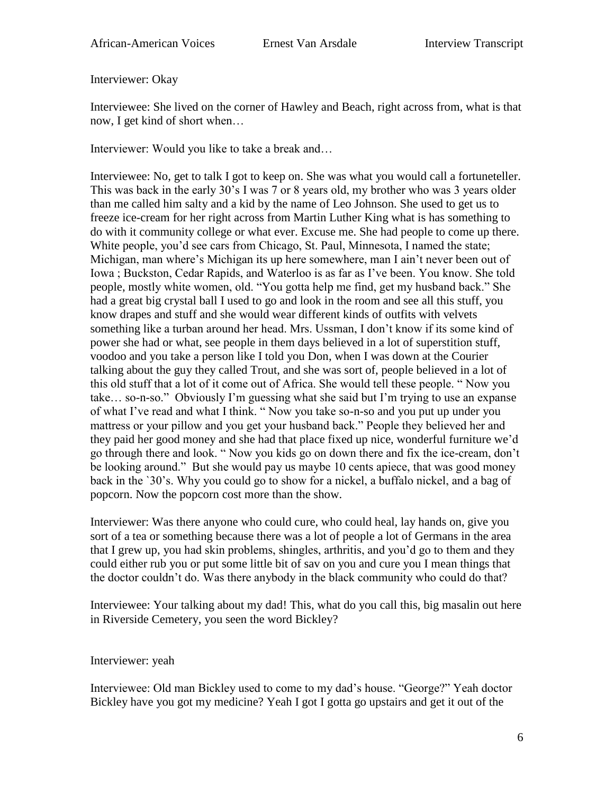Interviewer: Okay

Interviewee: She lived on the corner of Hawley and Beach, right across from, what is that now, I get kind of short when…

Interviewer: Would you like to take a break and…

Interviewee: No, get to talk I got to keep on. She was what you would call a fortuneteller. This was back in the early 30's I was 7 or 8 years old, my brother who was 3 years older than me called him salty and a kid by the name of Leo Johnson. She used to get us to freeze ice-cream for her right across from Martin Luther King what is has something to do with it community college or what ever. Excuse me. She had people to come up there. White people, you'd see cars from Chicago, St. Paul, Minnesota, I named the state; Michigan, man where's Michigan its up here somewhere, man I ain't never been out of Iowa ; Buckston, Cedar Rapids, and Waterloo is as far as I've been. You know. She told people, mostly white women, old. "You gotta help me find, get my husband back." She had a great big crystal ball I used to go and look in the room and see all this stuff, you know drapes and stuff and she would wear different kinds of outfits with velvets something like a turban around her head. Mrs. Ussman, I don't know if its some kind of power she had or what, see people in them days believed in a lot of superstition stuff, voodoo and you take a person like I told you Don, when I was down at the Courier talking about the guy they called Trout, and she was sort of, people believed in a lot of this old stuff that a lot of it come out of Africa. She would tell these people. " Now you take… so-n-so." Obviously I'm guessing what she said but I'm trying to use an expanse of what I've read and what I think. " Now you take so-n-so and you put up under you mattress or your pillow and you get your husband back." People they believed her and they paid her good money and she had that place fixed up nice, wonderful furniture we'd go through there and look. " Now you kids go on down there and fix the ice-cream, don't be looking around." But she would pay us maybe 10 cents apiece, that was good money back in the `30's. Why you could go to show for a nickel, a buffalo nickel, and a bag of popcorn. Now the popcorn cost more than the show.

Interviewer: Was there anyone who could cure, who could heal, lay hands on, give you sort of a tea or something because there was a lot of people a lot of Germans in the area that I grew up, you had skin problems, shingles, arthritis, and you'd go to them and they could either rub you or put some little bit of sav on you and cure you I mean things that the doctor couldn't do. Was there anybody in the black community who could do that?

Interviewee: Your talking about my dad! This, what do you call this, big masalin out here in Riverside Cemetery, you seen the word Bickley?

Interviewer: yeah

Interviewee: Old man Bickley used to come to my dad's house. "George?" Yeah doctor Bickley have you got my medicine? Yeah I got I gotta go upstairs and get it out of the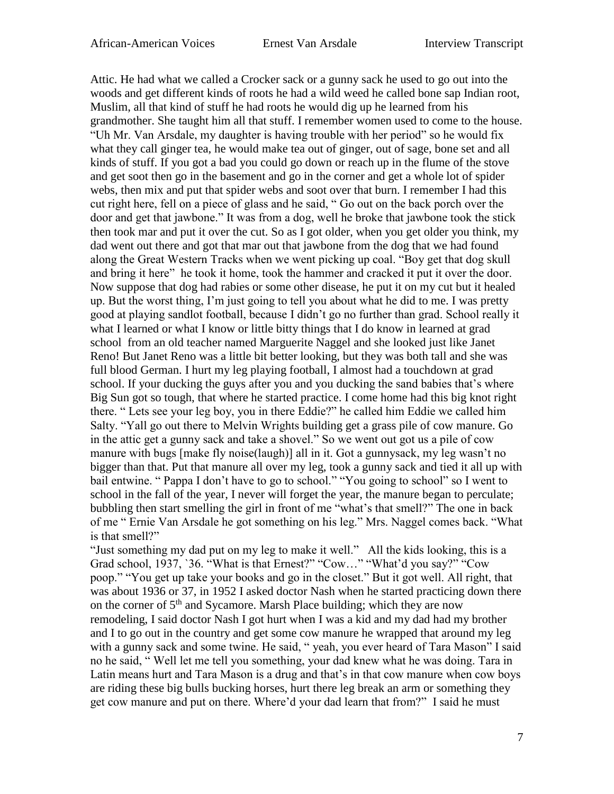Attic. He had what we called a Crocker sack or a gunny sack he used to go out into the woods and get different kinds of roots he had a wild weed he called bone sap Indian root, Muslim, all that kind of stuff he had roots he would dig up he learned from his grandmother. She taught him all that stuff. I remember women used to come to the house. "Uh Mr. Van Arsdale, my daughter is having trouble with her period" so he would fix what they call ginger tea, he would make tea out of ginger, out of sage, bone set and all kinds of stuff. If you got a bad you could go down or reach up in the flume of the stove and get soot then go in the basement and go in the corner and get a whole lot of spider webs, then mix and put that spider webs and soot over that burn. I remember I had this cut right here, fell on a piece of glass and he said, " Go out on the back porch over the door and get that jawbone." It was from a dog, well he broke that jawbone took the stick then took mar and put it over the cut. So as I got older, when you get older you think, my dad went out there and got that mar out that jawbone from the dog that we had found along the Great Western Tracks when we went picking up coal. "Boy get that dog skull and bring it here" he took it home, took the hammer and cracked it put it over the door. Now suppose that dog had rabies or some other disease, he put it on my cut but it healed up. But the worst thing, I'm just going to tell you about what he did to me. I was pretty good at playing sandlot football, because I didn't go no further than grad. School really it what I learned or what I know or little bitty things that I do know in learned at grad school from an old teacher named Marguerite Naggel and she looked just like Janet Reno! But Janet Reno was a little bit better looking, but they was both tall and she was full blood German. I hurt my leg playing football, I almost had a touchdown at grad school. If your ducking the guys after you and you ducking the sand babies that's where Big Sun got so tough, that where he started practice. I come home had this big knot right there. " Lets see your leg boy, you in there Eddie?" he called him Eddie we called him Salty. "Yall go out there to Melvin Wrights building get a grass pile of cow manure. Go in the attic get a gunny sack and take a shovel." So we went out got us a pile of cow manure with bugs [make fly noise(laugh)] all in it. Got a gunnysack, my leg wasn't no bigger than that. Put that manure all over my leg, took a gunny sack and tied it all up with bail entwine. " Pappa I don't have to go to school." "You going to school" so I went to school in the fall of the year, I never will forget the year, the manure began to perculate; bubbling then start smelling the girl in front of me "what's that smell?" The one in back of me " Ernie Van Arsdale he got something on his leg." Mrs. Naggel comes back. "What is that smell?"

"Just something my dad put on my leg to make it well." All the kids looking, this is a Grad school, 1937, `36. "What is that Ernest?" "Cow…" "What'd you say?" "Cow poop." "You get up take your books and go in the closet." But it got well. All right, that was about 1936 or 37, in 1952 I asked doctor Nash when he started practicing down there on the corner of  $5<sup>th</sup>$  and Sycamore. Marsh Place building; which they are now remodeling, I said doctor Nash I got hurt when I was a kid and my dad had my brother and I to go out in the country and get some cow manure he wrapped that around my leg with a gunny sack and some twine. He said, "yeah, you ever heard of Tara Mason" I said no he said, " Well let me tell you something, your dad knew what he was doing. Tara in Latin means hurt and Tara Mason is a drug and that's in that cow manure when cow boys are riding these big bulls bucking horses, hurt there leg break an arm or something they get cow manure and put on there. Where'd your dad learn that from?" I said he must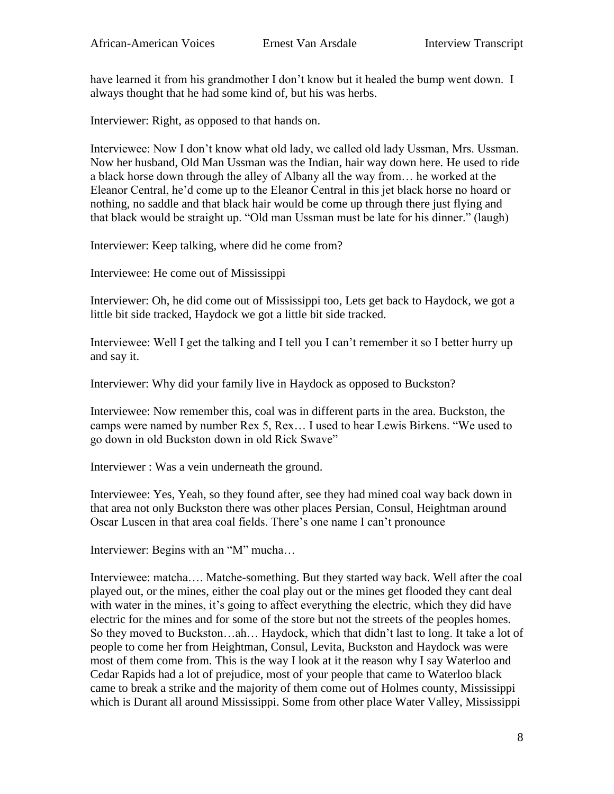have learned it from his grandmother I don't know but it healed the bump went down. I always thought that he had some kind of, but his was herbs.

Interviewer: Right, as opposed to that hands on.

Interviewee: Now I don't know what old lady, we called old lady Ussman, Mrs. Ussman. Now her husband, Old Man Ussman was the Indian, hair way down here. He used to ride a black horse down through the alley of Albany all the way from… he worked at the Eleanor Central, he'd come up to the Eleanor Central in this jet black horse no hoard or nothing, no saddle and that black hair would be come up through there just flying and that black would be straight up. "Old man Ussman must be late for his dinner." (laugh)

Interviewer: Keep talking, where did he come from?

Interviewee: He come out of Mississippi

Interviewer: Oh, he did come out of Mississippi too, Lets get back to Haydock, we got a little bit side tracked, Haydock we got a little bit side tracked.

Interviewee: Well I get the talking and I tell you I can't remember it so I better hurry up and say it.

Interviewer: Why did your family live in Haydock as opposed to Buckston?

Interviewee: Now remember this, coal was in different parts in the area. Buckston, the camps were named by number Rex 5, Rex… I used to hear Lewis Birkens. "We used to go down in old Buckston down in old Rick Swave"

Interviewer : Was a vein underneath the ground.

Interviewee: Yes, Yeah, so they found after, see they had mined coal way back down in that area not only Buckston there was other places Persian, Consul, Heightman around Oscar Luscen in that area coal fields. There's one name I can't pronounce

Interviewer: Begins with an "M" mucha…

Interviewee: matcha…. Matche-something. But they started way back. Well after the coal played out, or the mines, either the coal play out or the mines get flooded they cant deal with water in the mines, it's going to affect everything the electric, which they did have electric for the mines and for some of the store but not the streets of the peoples homes. So they moved to Buckston…ah… Haydock, which that didn't last to long. It take a lot of people to come her from Heightman, Consul, Levita, Buckston and Haydock was were most of them come from. This is the way I look at it the reason why I say Waterloo and Cedar Rapids had a lot of prejudice, most of your people that came to Waterloo black came to break a strike and the majority of them come out of Holmes county, Mississippi which is Durant all around Mississippi. Some from other place Water Valley, Mississippi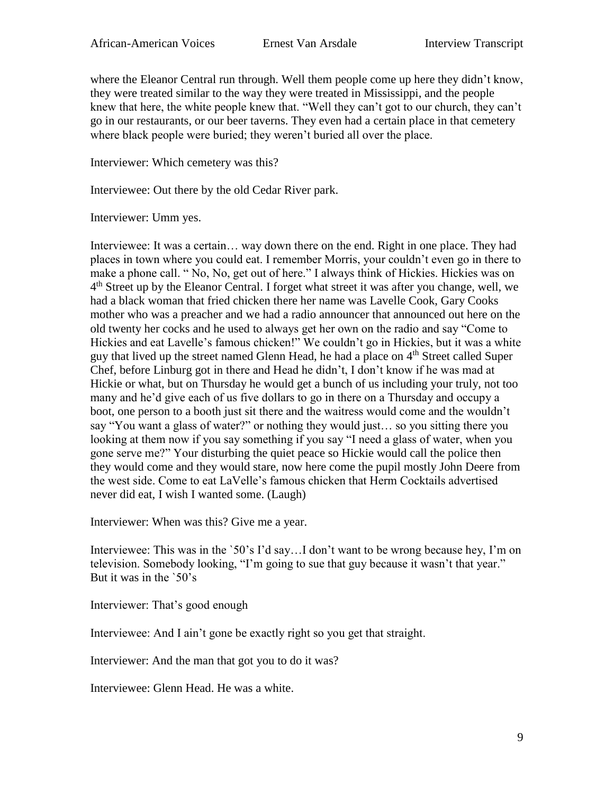where the Eleanor Central run through. Well them people come up here they didn't know, they were treated similar to the way they were treated in Mississippi, and the people knew that here, the white people knew that. "Well they can't got to our church, they can't go in our restaurants, or our beer taverns. They even had a certain place in that cemetery where black people were buried; they weren't buried all over the place.

Interviewer: Which cemetery was this?

Interviewee: Out there by the old Cedar River park.

Interviewer: Umm yes.

Interviewee: It was a certain… way down there on the end. Right in one place. They had places in town where you could eat. I remember Morris, your couldn't even go in there to make a phone call. " No, No, get out of here." I always think of Hickies. Hickies was on 4<sup>th</sup> Street up by the Eleanor Central. I forget what street it was after you change, well, we had a black woman that fried chicken there her name was Lavelle Cook, Gary Cooks mother who was a preacher and we had a radio announcer that announced out here on the old twenty her cocks and he used to always get her own on the radio and say "Come to Hickies and eat Lavelle's famous chicken!" We couldn't go in Hickies, but it was a white guy that lived up the street named Glenn Head, he had a place on 4<sup>th</sup> Street called Super Chef, before Linburg got in there and Head he didn't, I don't know if he was mad at Hickie or what, but on Thursday he would get a bunch of us including your truly, not too many and he'd give each of us five dollars to go in there on a Thursday and occupy a boot, one person to a booth just sit there and the waitress would come and the wouldn't say "You want a glass of water?" or nothing they would just… so you sitting there you looking at them now if you say something if you say "I need a glass of water, when you gone serve me?" Your disturbing the quiet peace so Hickie would call the police then they would come and they would stare, now here come the pupil mostly John Deere from the west side. Come to eat LaVelle's famous chicken that Herm Cocktails advertised never did eat, I wish I wanted some. (Laugh)

Interviewer: When was this? Give me a year.

Interviewee: This was in the `50's I'd say...I don't want to be wrong because hey, I'm on television. Somebody looking, "I'm going to sue that guy because it wasn't that year." But it was in the `50's

Interviewer: That's good enough

Interviewee: And I ain't gone be exactly right so you get that straight.

Interviewer: And the man that got you to do it was?

Interviewee: Glenn Head. He was a white.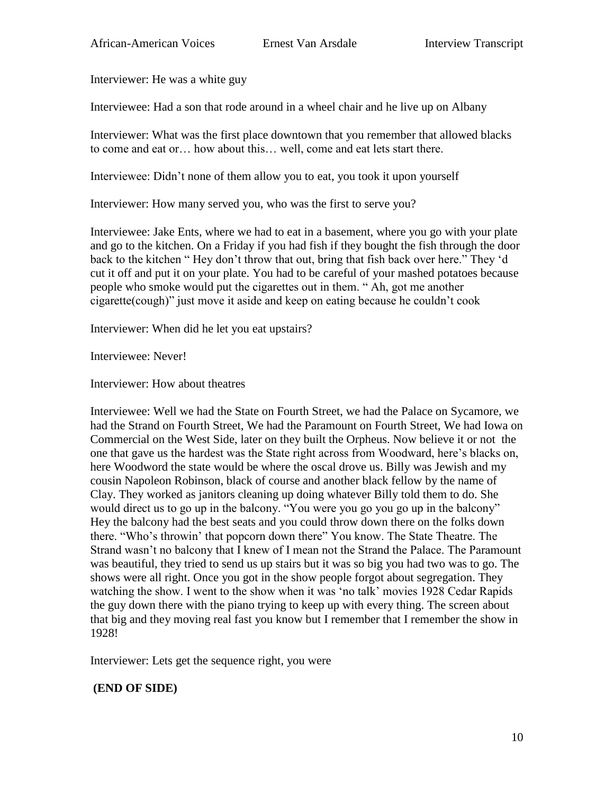Interviewer: He was a white guy

Interviewee: Had a son that rode around in a wheel chair and he live up on Albany

Interviewer: What was the first place downtown that you remember that allowed blacks to come and eat or… how about this… well, come and eat lets start there.

Interviewee: Didn't none of them allow you to eat, you took it upon yourself

Interviewer: How many served you, who was the first to serve you?

Interviewee: Jake Ents, where we had to eat in a basement, where you go with your plate and go to the kitchen. On a Friday if you had fish if they bought the fish through the door back to the kitchen " Hey don't throw that out, bring that fish back over here." They 'd cut it off and put it on your plate. You had to be careful of your mashed potatoes because people who smoke would put the cigarettes out in them. " Ah, got me another cigarette(cough)" just move it aside and keep on eating because he couldn't cook

Interviewer: When did he let you eat upstairs?

Interviewee: Never!

Interviewer: How about theatres

Interviewee: Well we had the State on Fourth Street, we had the Palace on Sycamore, we had the Strand on Fourth Street, We had the Paramount on Fourth Street, We had Iowa on Commercial on the West Side, later on they built the Orpheus. Now believe it or not the one that gave us the hardest was the State right across from Woodward, here's blacks on, here Woodword the state would be where the oscal drove us. Billy was Jewish and my cousin Napoleon Robinson, black of course and another black fellow by the name of Clay. They worked as janitors cleaning up doing whatever Billy told them to do. She would direct us to go up in the balcony. "You were you go you go up in the balcony" Hey the balcony had the best seats and you could throw down there on the folks down there. "Who's throwin' that popcorn down there" You know. The State Theatre. The Strand wasn't no balcony that I knew of I mean not the Strand the Palace. The Paramount was beautiful, they tried to send us up stairs but it was so big you had two was to go. The shows were all right. Once you got in the show people forgot about segregation. They watching the show. I went to the show when it was 'no talk' movies 1928 Cedar Rapids the guy down there with the piano trying to keep up with every thing. The screen about that big and they moving real fast you know but I remember that I remember the show in 1928!

Interviewer: Lets get the sequence right, you were

# **(END OF SIDE)**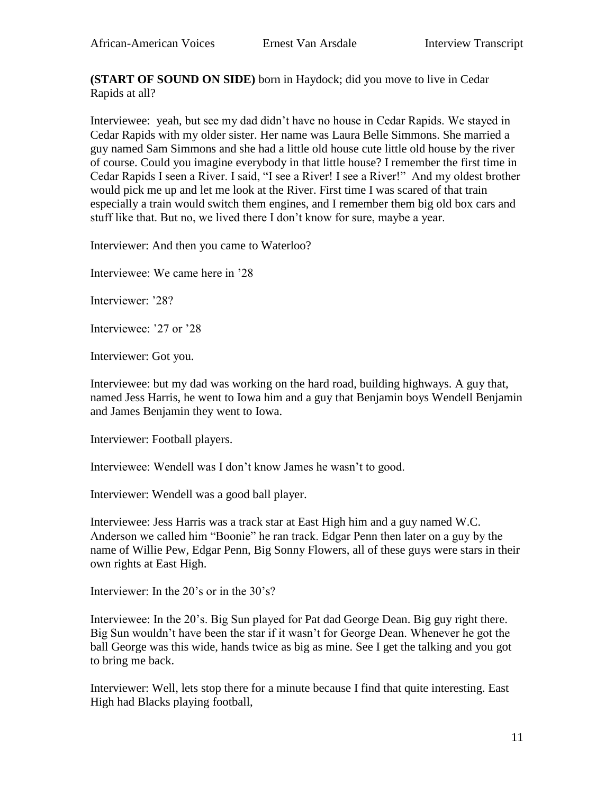**(START OF SOUND ON SIDE)** born in Haydock; did you move to live in Cedar Rapids at all?

Interviewee: yeah, but see my dad didn't have no house in Cedar Rapids. We stayed in Cedar Rapids with my older sister. Her name was Laura Belle Simmons. She married a guy named Sam Simmons and she had a little old house cute little old house by the river of course. Could you imagine everybody in that little house? I remember the first time in Cedar Rapids I seen a River. I said, "I see a River! I see a River!" And my oldest brother would pick me up and let me look at the River. First time I was scared of that train especially a train would switch them engines, and I remember them big old box cars and stuff like that. But no, we lived there I don't know for sure, maybe a year.

Interviewer: And then you came to Waterloo?

Interviewee: We came here in '28

Interviewer: '28?

Interviewee: '27 or '28

Interviewer: Got you.

Interviewee: but my dad was working on the hard road, building highways. A guy that, named Jess Harris, he went to Iowa him and a guy that Benjamin boys Wendell Benjamin and James Benjamin they went to Iowa.

Interviewer: Football players.

Interviewee: Wendell was I don't know James he wasn't to good.

Interviewer: Wendell was a good ball player.

Interviewee: Jess Harris was a track star at East High him and a guy named W.C. Anderson we called him "Boonie" he ran track. Edgar Penn then later on a guy by the name of Willie Pew, Edgar Penn, Big Sonny Flowers, all of these guys were stars in their own rights at East High.

Interviewer: In the 20's or in the 30's?

Interviewee: In the 20's. Big Sun played for Pat dad George Dean. Big guy right there. Big Sun wouldn't have been the star if it wasn't for George Dean. Whenever he got the ball George was this wide, hands twice as big as mine. See I get the talking and you got to bring me back.

Interviewer: Well, lets stop there for a minute because I find that quite interesting. East High had Blacks playing football,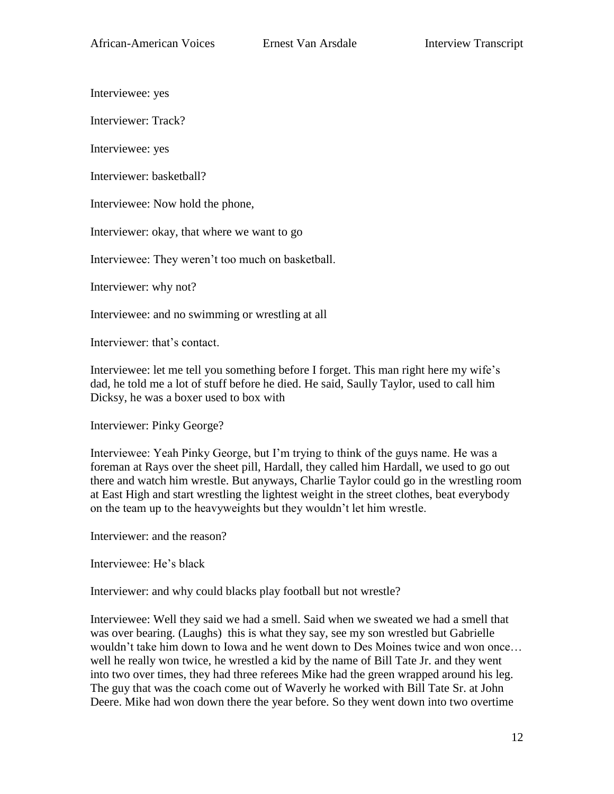Interviewee: yes

Interviewer: Track?

Interviewee: yes

Interviewer: basketball?

Interviewee: Now hold the phone,

Interviewer: okay, that where we want to go

Interviewee: They weren't too much on basketball.

Interviewer: why not?

Interviewee: and no swimming or wrestling at all

Interviewer: that's contact.

Interviewee: let me tell you something before I forget. This man right here my wife's dad, he told me a lot of stuff before he died. He said, Saully Taylor, used to call him Dicksy, he was a boxer used to box with

Interviewer: Pinky George?

Interviewee: Yeah Pinky George, but I'm trying to think of the guys name. He was a foreman at Rays over the sheet pill, Hardall, they called him Hardall, we used to go out there and watch him wrestle. But anyways, Charlie Taylor could go in the wrestling room at East High and start wrestling the lightest weight in the street clothes, beat everybody on the team up to the heavyweights but they wouldn't let him wrestle.

Interviewer: and the reason?

Interviewee: He's black

Interviewer: and why could blacks play football but not wrestle?

Interviewee: Well they said we had a smell. Said when we sweated we had a smell that was over bearing. (Laughs) this is what they say, see my son wrestled but Gabrielle wouldn't take him down to Iowa and he went down to Des Moines twice and won once… well he really won twice, he wrestled a kid by the name of Bill Tate Jr. and they went into two over times, they had three referees Mike had the green wrapped around his leg. The guy that was the coach come out of Waverly he worked with Bill Tate Sr. at John Deere. Mike had won down there the year before. So they went down into two overtime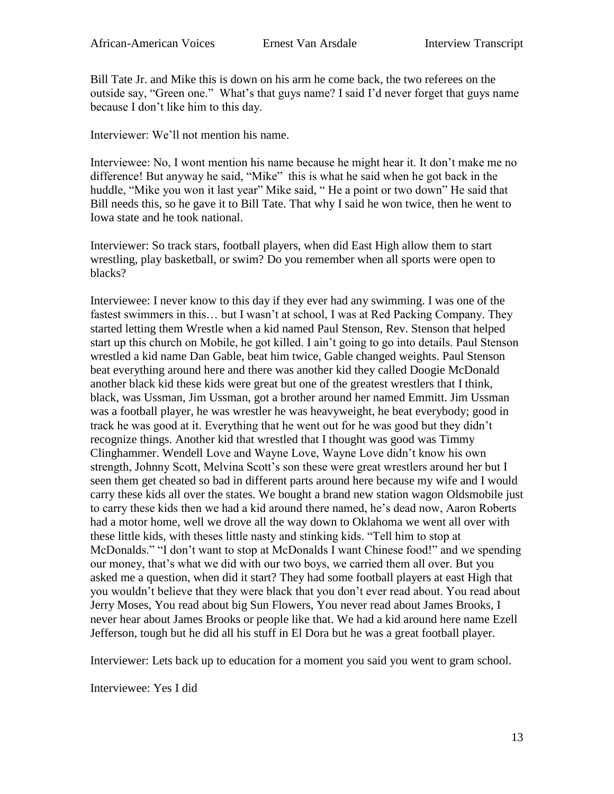Bill Tate Jr. and Mike this is down on his arm he come back, the two referees on the outside say, "Green one." What's that guys name? I said I'd never forget that guys name because I don't like him to this day.

Interviewer: We'll not mention his name.

Interviewee: No, I wont mention his name because he might hear it. It don't make me no difference! But anyway he said, "Mike" this is what he said when he got back in the huddle, "Mike you won it last year" Mike said, " He a point or two down" He said that Bill needs this, so he gave it to Bill Tate. That why I said he won twice, then he went to Iowa state and he took national.

Interviewer: So track stars, football players, when did East High allow them to start wrestling, play basketball, or swim? Do you remember when all sports were open to blacks?

Interviewee: I never know to this day if they ever had any swimming. I was one of the fastest swimmers in this… but I wasn't at school, I was at Red Packing Company. They started letting them Wrestle when a kid named Paul Stenson, Rev. Stenson that helped start up this church on Mobile, he got killed. I ain't going to go into details. Paul Stenson wrestled a kid name Dan Gable, beat him twice, Gable changed weights. Paul Stenson beat everything around here and there was another kid they called Doogie McDonald another black kid these kids were great but one of the greatest wrestlers that I think, black, was Ussman, Jim Ussman, got a brother around her named Emmitt. Jim Ussman was a football player, he was wrestler he was heavyweight, he beat everybody; good in track he was good at it. Everything that he went out for he was good but they didn't recognize things. Another kid that wrestled that I thought was good was Timmy Clinghammer. Wendell Love and Wayne Love, Wayne Love didn't know his own strength, Johnny Scott, Melvina Scott's son these were great wrestlers around her but I seen them get cheated so bad in different parts around here because my wife and I would carry these kids all over the states. We bought a brand new station wagon Oldsmobile just to carry these kids then we had a kid around there named, he's dead now, Aaron Roberts had a motor home, well we drove all the way down to Oklahoma we went all over with these little kids, with theses little nasty and stinking kids. "Tell him to stop at McDonalds." "I don't want to stop at McDonalds I want Chinese food!" and we spending our money, that's what we did with our two boys, we carried them all over. But you asked me a question, when did it start? They had some football players at east High that you wouldn't believe that they were black that you don't ever read about. You read about Jerry Moses, You read about big Sun Flowers, You never read about James Brooks, I never hear about James Brooks or people like that. We had a kid around here name Ezell Jefferson, tough but he did all his stuff in El Dora but he was a great football player.

Interviewer: Lets back up to education for a moment you said you went to gram school.

Interviewee: Yes I did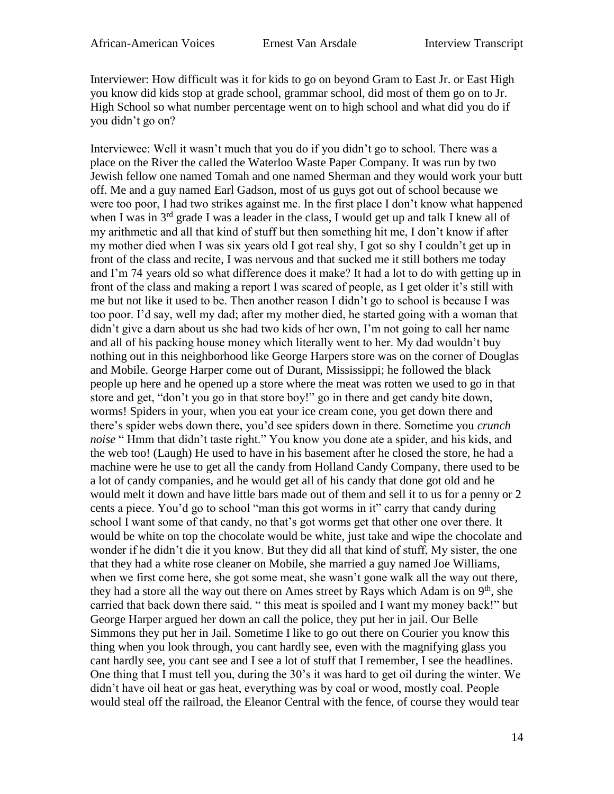Interviewer: How difficult was it for kids to go on beyond Gram to East Jr. or East High you know did kids stop at grade school, grammar school, did most of them go on to Jr. High School so what number percentage went on to high school and what did you do if you didn't go on?

Interviewee: Well it wasn't much that you do if you didn't go to school. There was a place on the River the called the Waterloo Waste Paper Company. It was run by two Jewish fellow one named Tomah and one named Sherman and they would work your butt off. Me and a guy named Earl Gadson, most of us guys got out of school because we were too poor, I had two strikes against me. In the first place I don't know what happened when I was in  $3<sup>rd</sup>$  grade I was a leader in the class, I would get up and talk I knew all of my arithmetic and all that kind of stuff but then something hit me, I don't know if after my mother died when I was six years old I got real shy, I got so shy I couldn't get up in front of the class and recite, I was nervous and that sucked me it still bothers me today and I'm 74 years old so what difference does it make? It had a lot to do with getting up in front of the class and making a report I was scared of people, as I get older it's still with me but not like it used to be. Then another reason I didn't go to school is because I was too poor. I'd say, well my dad; after my mother died, he started going with a woman that didn't give a darn about us she had two kids of her own, I'm not going to call her name and all of his packing house money which literally went to her. My dad wouldn't buy nothing out in this neighborhood like George Harpers store was on the corner of Douglas and Mobile. George Harper come out of Durant, Mississippi; he followed the black people up here and he opened up a store where the meat was rotten we used to go in that store and get, "don't you go in that store boy!" go in there and get candy bite down, worms! Spiders in your, when you eat your ice cream cone, you get down there and there's spider webs down there, you'd see spiders down in there. Sometime you *crunch noise* " Hmm that didn't taste right." You know you done ate a spider, and his kids, and the web too! (Laugh) He used to have in his basement after he closed the store, he had a machine were he use to get all the candy from Holland Candy Company, there used to be a lot of candy companies, and he would get all of his candy that done got old and he would melt it down and have little bars made out of them and sell it to us for a penny or 2 cents a piece. You'd go to school "man this got worms in it" carry that candy during school I want some of that candy, no that's got worms get that other one over there. It would be white on top the chocolate would be white, just take and wipe the chocolate and wonder if he didn't die it you know. But they did all that kind of stuff, My sister, the one that they had a white rose cleaner on Mobile, she married a guy named Joe Williams, when we first come here, she got some meat, she wasn't gone walk all the way out there, they had a store all the way out there on Ames street by Rays which Adam is on  $9<sup>th</sup>$ , she carried that back down there said. " this meat is spoiled and I want my money back!" but George Harper argued her down an call the police, they put her in jail. Our Belle Simmons they put her in Jail. Sometime I like to go out there on Courier you know this thing when you look through, you cant hardly see, even with the magnifying glass you cant hardly see, you cant see and I see a lot of stuff that I remember, I see the headlines. One thing that I must tell you, during the 30's it was hard to get oil during the winter. We didn't have oil heat or gas heat, everything was by coal or wood, mostly coal. People would steal off the railroad, the Eleanor Central with the fence, of course they would tear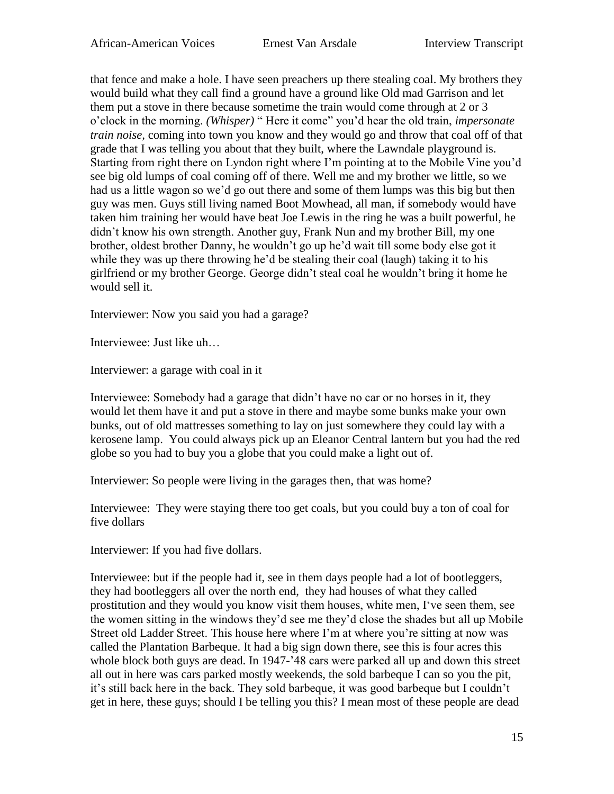that fence and make a hole. I have seen preachers up there stealing coal. My brothers they would build what they call find a ground have a ground like Old mad Garrison and let them put a stove in there because sometime the train would come through at 2 or 3 o'clock in the morning. *(Whisper)* " Here it come" you'd hear the old train, *impersonate train noise,* coming into town you know and they would go and throw that coal off of that grade that I was telling you about that they built, where the Lawndale playground is. Starting from right there on Lyndon right where I'm pointing at to the Mobile Vine you'd see big old lumps of coal coming off of there. Well me and my brother we little, so we had us a little wagon so we'd go out there and some of them lumps was this big but then guy was men. Guys still living named Boot Mowhead, all man, if somebody would have taken him training her would have beat Joe Lewis in the ring he was a built powerful, he didn't know his own strength. Another guy, Frank Nun and my brother Bill, my one brother, oldest brother Danny, he wouldn't go up he'd wait till some body else got it while they was up there throwing he'd be stealing their coal (laugh) taking it to his girlfriend or my brother George. George didn't steal coal he wouldn't bring it home he would sell it.

Interviewer: Now you said you had a garage?

Interviewee: Just like uh…

Interviewer: a garage with coal in it

Interviewee: Somebody had a garage that didn't have no car or no horses in it, they would let them have it and put a stove in there and maybe some bunks make your own bunks, out of old mattresses something to lay on just somewhere they could lay with a kerosene lamp. You could always pick up an Eleanor Central lantern but you had the red globe so you had to buy you a globe that you could make a light out of.

Interviewer: So people were living in the garages then, that was home?

Interviewee: They were staying there too get coals, but you could buy a ton of coal for five dollars

Interviewer: If you had five dollars.

Interviewee: but if the people had it, see in them days people had a lot of bootleggers, they had bootleggers all over the north end, they had houses of what they called prostitution and they would you know visit them houses, white men, I've seen them, see the women sitting in the windows they'd see me they'd close the shades but all up Mobile Street old Ladder Street. This house here where I'm at where you're sitting at now was called the Plantation Barbeque. It had a big sign down there, see this is four acres this whole block both guys are dead. In 1947-'48 cars were parked all up and down this street all out in here was cars parked mostly weekends, the sold barbeque I can so you the pit, it's still back here in the back. They sold barbeque, it was good barbeque but I couldn't get in here, these guys; should I be telling you this? I mean most of these people are dead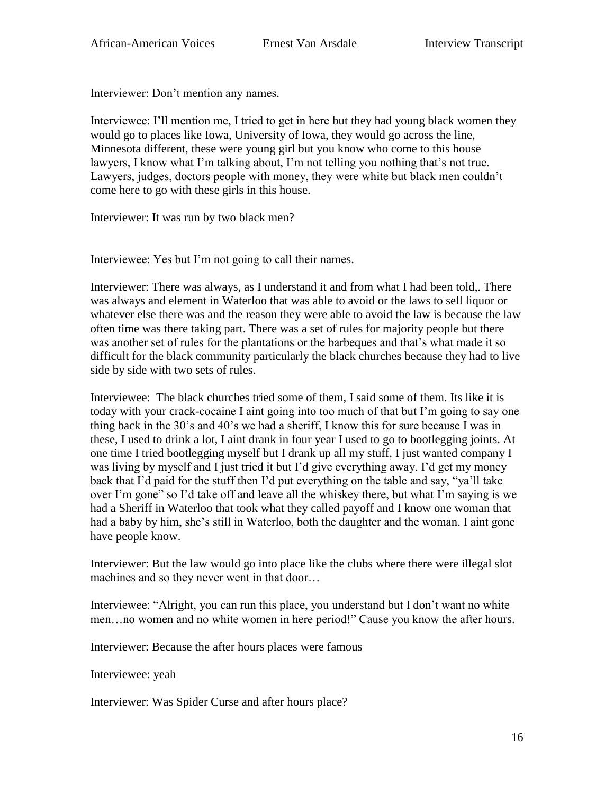Interviewer: Don't mention any names.

Interviewee: I'll mention me, I tried to get in here but they had young black women they would go to places like Iowa, University of Iowa, they would go across the line, Minnesota different, these were young girl but you know who come to this house lawyers, I know what I'm talking about, I'm not telling you nothing that's not true. Lawyers, judges, doctors people with money, they were white but black men couldn't come here to go with these girls in this house.

Interviewer: It was run by two black men?

Interviewee: Yes but I'm not going to call their names.

Interviewer: There was always, as I understand it and from what I had been told,. There was always and element in Waterloo that was able to avoid or the laws to sell liquor or whatever else there was and the reason they were able to avoid the law is because the law often time was there taking part. There was a set of rules for majority people but there was another set of rules for the plantations or the barbeques and that's what made it so difficult for the black community particularly the black churches because they had to live side by side with two sets of rules.

Interviewee: The black churches tried some of them, I said some of them. Its like it is today with your crack-cocaine I aint going into too much of that but I'm going to say one thing back in the 30's and 40's we had a sheriff, I know this for sure because I was in these, I used to drink a lot, I aint drank in four year I used to go to bootlegging joints. At one time I tried bootlegging myself but I drank up all my stuff, I just wanted company I was living by myself and I just tried it but I'd give everything away. I'd get my money back that I'd paid for the stuff then I'd put everything on the table and say, "ya'll take over I'm gone" so I'd take off and leave all the whiskey there, but what I'm saying is we had a Sheriff in Waterloo that took what they called payoff and I know one woman that had a baby by him, she's still in Waterloo, both the daughter and the woman. I aint gone have people know.

Interviewer: But the law would go into place like the clubs where there were illegal slot machines and so they never went in that door…

Interviewee: "Alright, you can run this place, you understand but I don't want no white men…no women and no white women in here period!" Cause you know the after hours.

Interviewer: Because the after hours places were famous

Interviewee: yeah

Interviewer: Was Spider Curse and after hours place?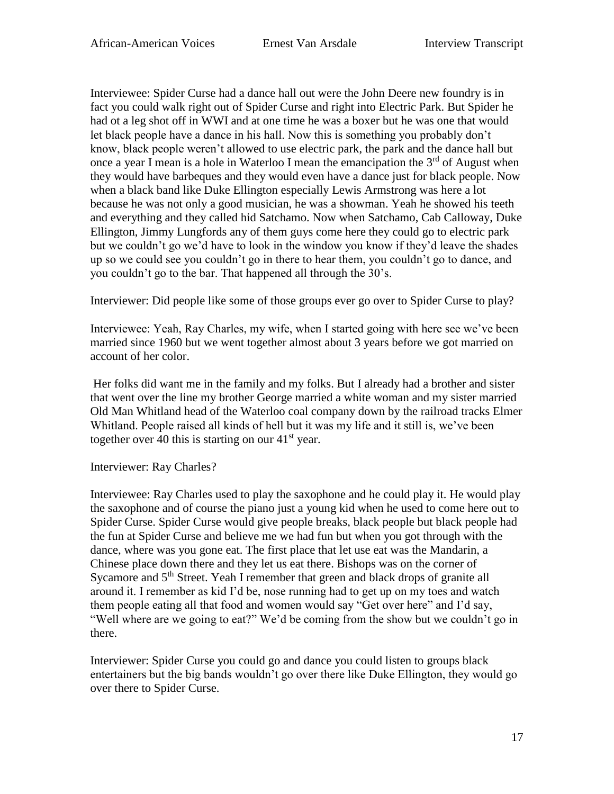Interviewee: Spider Curse had a dance hall out were the John Deere new foundry is in fact you could walk right out of Spider Curse and right into Electric Park. But Spider he had ot a leg shot off in WWI and at one time he was a boxer but he was one that would let black people have a dance in his hall. Now this is something you probably don't know, black people weren't allowed to use electric park, the park and the dance hall but once a year I mean is a hole in Waterloo I mean the emancipation the  $3<sup>rd</sup>$  of August when they would have barbeques and they would even have a dance just for black people. Now when a black band like Duke Ellington especially Lewis Armstrong was here a lot because he was not only a good musician, he was a showman. Yeah he showed his teeth and everything and they called hid Satchamo. Now when Satchamo, Cab Calloway, Duke Ellington, Jimmy Lungfords any of them guys come here they could go to electric park but we couldn't go we'd have to look in the window you know if they'd leave the shades up so we could see you couldn't go in there to hear them, you couldn't go to dance, and you couldn't go to the bar. That happened all through the 30's.

Interviewer: Did people like some of those groups ever go over to Spider Curse to play?

Interviewee: Yeah, Ray Charles, my wife, when I started going with here see we've been married since 1960 but we went together almost about 3 years before we got married on account of her color.

Her folks did want me in the family and my folks. But I already had a brother and sister that went over the line my brother George married a white woman and my sister married Old Man Whitland head of the Waterloo coal company down by the railroad tracks Elmer Whitland. People raised all kinds of hell but it was my life and it still is, we've been together over 40 this is starting on our  $41<sup>st</sup>$  year.

Interviewer: Ray Charles?

Interviewee: Ray Charles used to play the saxophone and he could play it. He would play the saxophone and of course the piano just a young kid when he used to come here out to Spider Curse. Spider Curse would give people breaks, black people but black people had the fun at Spider Curse and believe me we had fun but when you got through with the dance, where was you gone eat. The first place that let use eat was the Mandarin, a Chinese place down there and they let us eat there. Bishops was on the corner of Sycamore and 5<sup>th</sup> Street. Yeah I remember that green and black drops of granite all around it. I remember as kid I'd be, nose running had to get up on my toes and watch them people eating all that food and women would say "Get over here" and I'd say, "Well where are we going to eat?" We'd be coming from the show but we couldn't go in there.

Interviewer: Spider Curse you could go and dance you could listen to groups black entertainers but the big bands wouldn't go over there like Duke Ellington, they would go over there to Spider Curse.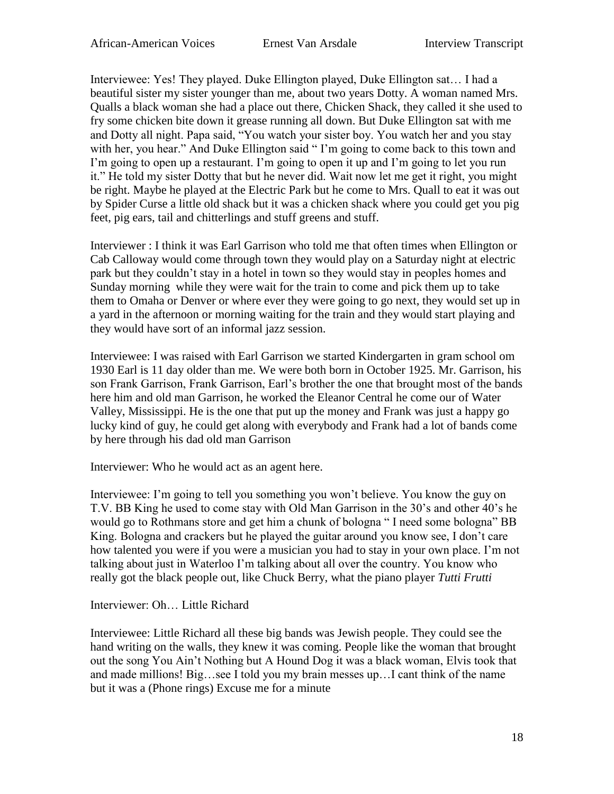Interviewee: Yes! They played. Duke Ellington played, Duke Ellington sat… I had a beautiful sister my sister younger than me, about two years Dotty. A woman named Mrs. Qualls a black woman she had a place out there, Chicken Shack, they called it she used to fry some chicken bite down it grease running all down. But Duke Ellington sat with me and Dotty all night. Papa said, "You watch your sister boy. You watch her and you stay with her, you hear." And Duke Ellington said "I'm going to come back to this town and I'm going to open up a restaurant. I'm going to open it up and I'm going to let you run it." He told my sister Dotty that but he never did. Wait now let me get it right, you might be right. Maybe he played at the Electric Park but he come to Mrs. Quall to eat it was out by Spider Curse a little old shack but it was a chicken shack where you could get you pig feet, pig ears, tail and chitterlings and stuff greens and stuff.

Interviewer : I think it was Earl Garrison who told me that often times when Ellington or Cab Calloway would come through town they would play on a Saturday night at electric park but they couldn't stay in a hotel in town so they would stay in peoples homes and Sunday morning while they were wait for the train to come and pick them up to take them to Omaha or Denver or where ever they were going to go next, they would set up in a yard in the afternoon or morning waiting for the train and they would start playing and they would have sort of an informal jazz session.

Interviewee: I was raised with Earl Garrison we started Kindergarten in gram school om 1930 Earl is 11 day older than me. We were both born in October 1925. Mr. Garrison, his son Frank Garrison, Frank Garrison, Earl's brother the one that brought most of the bands here him and old man Garrison, he worked the Eleanor Central he come our of Water Valley, Mississippi. He is the one that put up the money and Frank was just a happy go lucky kind of guy, he could get along with everybody and Frank had a lot of bands come by here through his dad old man Garrison

Interviewer: Who he would act as an agent here.

Interviewee: I'm going to tell you something you won't believe. You know the guy on T.V. BB King he used to come stay with Old Man Garrison in the 30's and other 40's he would go to Rothmans store and get him a chunk of bologna " I need some bologna" BB King. Bologna and crackers but he played the guitar around you know see, I don't care how talented you were if you were a musician you had to stay in your own place. I'm not talking about just in Waterloo I'm talking about all over the country. You know who really got the black people out, like Chuck Berry, what the piano player *Tutti Frutti*

Interviewer: Oh… Little Richard

Interviewee: Little Richard all these big bands was Jewish people. They could see the hand writing on the walls, they knew it was coming. People like the woman that brought out the song You Ain't Nothing but A Hound Dog it was a black woman, Elvis took that and made millions! Big…see I told you my brain messes up…I cant think of the name but it was a (Phone rings) Excuse me for a minute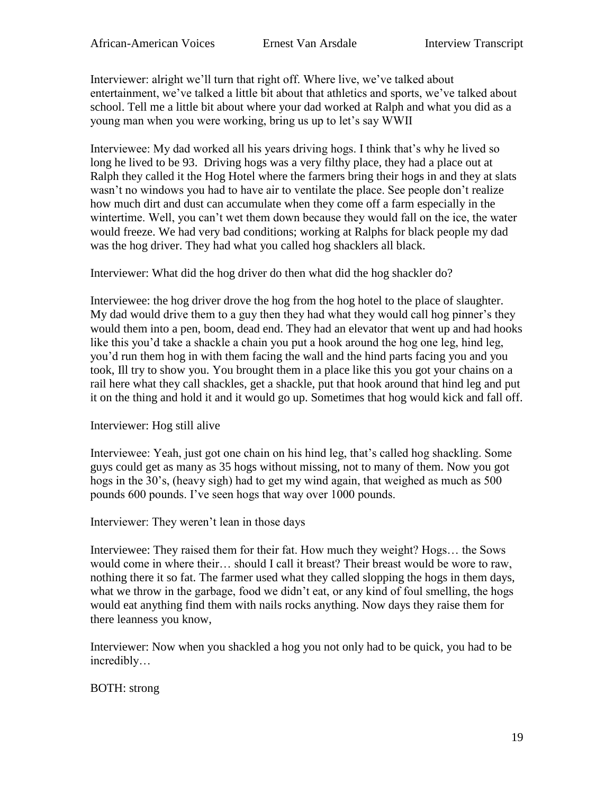Interviewer: alright we'll turn that right off. Where live, we've talked about entertainment, we've talked a little bit about that athletics and sports, we've talked about school. Tell me a little bit about where your dad worked at Ralph and what you did as a young man when you were working, bring us up to let's say WWII

Interviewee: My dad worked all his years driving hogs. I think that's why he lived so long he lived to be 93. Driving hogs was a very filthy place, they had a place out at Ralph they called it the Hog Hotel where the farmers bring their hogs in and they at slats wasn't no windows you had to have air to ventilate the place. See people don't realize how much dirt and dust can accumulate when they come off a farm especially in the wintertime. Well, you can't wet them down because they would fall on the ice, the water would freeze. We had very bad conditions; working at Ralphs for black people my dad was the hog driver. They had what you called hog shacklers all black.

Interviewer: What did the hog driver do then what did the hog shackler do?

Interviewee: the hog driver drove the hog from the hog hotel to the place of slaughter. My dad would drive them to a guy then they had what they would call hog pinner's they would them into a pen, boom, dead end. They had an elevator that went up and had hooks like this you'd take a shackle a chain you put a hook around the hog one leg, hind leg, you'd run them hog in with them facing the wall and the hind parts facing you and you took, Ill try to show you. You brought them in a place like this you got your chains on a rail here what they call shackles, get a shackle, put that hook around that hind leg and put it on the thing and hold it and it would go up. Sometimes that hog would kick and fall off.

## Interviewer: Hog still alive

Interviewee: Yeah, just got one chain on his hind leg, that's called hog shackling. Some guys could get as many as 35 hogs without missing, not to many of them. Now you got hogs in the 30's, (heavy sigh) had to get my wind again, that weighed as much as 500 pounds 600 pounds. I've seen hogs that way over 1000 pounds.

Interviewer: They weren't lean in those days

Interviewee: They raised them for their fat. How much they weight? Hogs… the Sows would come in where their… should I call it breast? Their breast would be wore to raw, nothing there it so fat. The farmer used what they called slopping the hogs in them days, what we throw in the garbage, food we didn't eat, or any kind of foul smelling, the hogs would eat anything find them with nails rocks anything. Now days they raise them for there leanness you know,

Interviewer: Now when you shackled a hog you not only had to be quick, you had to be incredibly…

BOTH: strong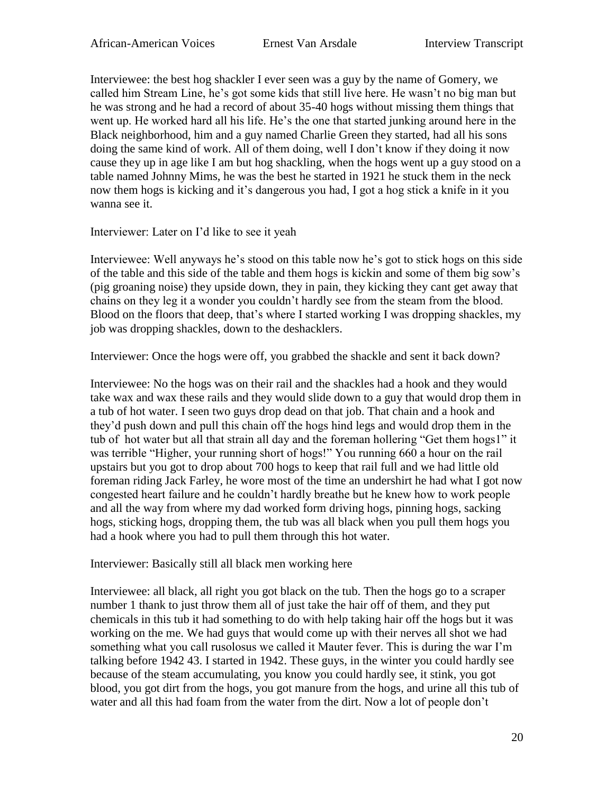Interviewee: the best hog shackler I ever seen was a guy by the name of Gomery, we called him Stream Line, he's got some kids that still live here. He wasn't no big man but he was strong and he had a record of about 35-40 hogs without missing them things that went up. He worked hard all his life. He's the one that started junking around here in the Black neighborhood, him and a guy named Charlie Green they started, had all his sons doing the same kind of work. All of them doing, well I don't know if they doing it now cause they up in age like I am but hog shackling, when the hogs went up a guy stood on a table named Johnny Mims, he was the best he started in 1921 he stuck them in the neck now them hogs is kicking and it's dangerous you had, I got a hog stick a knife in it you wanna see it.

### Interviewer: Later on I'd like to see it yeah

Interviewee: Well anyways he's stood on this table now he's got to stick hogs on this side of the table and this side of the table and them hogs is kickin and some of them big sow's (pig groaning noise) they upside down, they in pain, they kicking they cant get away that chains on they leg it a wonder you couldn't hardly see from the steam from the blood. Blood on the floors that deep, that's where I started working I was dropping shackles, my job was dropping shackles, down to the deshacklers.

Interviewer: Once the hogs were off, you grabbed the shackle and sent it back down?

Interviewee: No the hogs was on their rail and the shackles had a hook and they would take wax and wax these rails and they would slide down to a guy that would drop them in a tub of hot water. I seen two guys drop dead on that job. That chain and a hook and they'd push down and pull this chain off the hogs hind legs and would drop them in the tub of hot water but all that strain all day and the foreman hollering "Get them hogs1" it was terrible "Higher, your running short of hogs!" You running 660 a hour on the rail upstairs but you got to drop about 700 hogs to keep that rail full and we had little old foreman riding Jack Farley, he wore most of the time an undershirt he had what I got now congested heart failure and he couldn't hardly breathe but he knew how to work people and all the way from where my dad worked form driving hogs, pinning hogs, sacking hogs, sticking hogs, dropping them, the tub was all black when you pull them hogs you had a hook where you had to pull them through this hot water.

#### Interviewer: Basically still all black men working here

Interviewee: all black, all right you got black on the tub. Then the hogs go to a scraper number 1 thank to just throw them all of just take the hair off of them, and they put chemicals in this tub it had something to do with help taking hair off the hogs but it was working on the me. We had guys that would come up with their nerves all shot we had something what you call rusolosus we called it Mauter fever. This is during the war I'm talking before 1942 43. I started in 1942. These guys, in the winter you could hardly see because of the steam accumulating, you know you could hardly see, it stink, you got blood, you got dirt from the hogs, you got manure from the hogs, and urine all this tub of water and all this had foam from the water from the dirt. Now a lot of people don't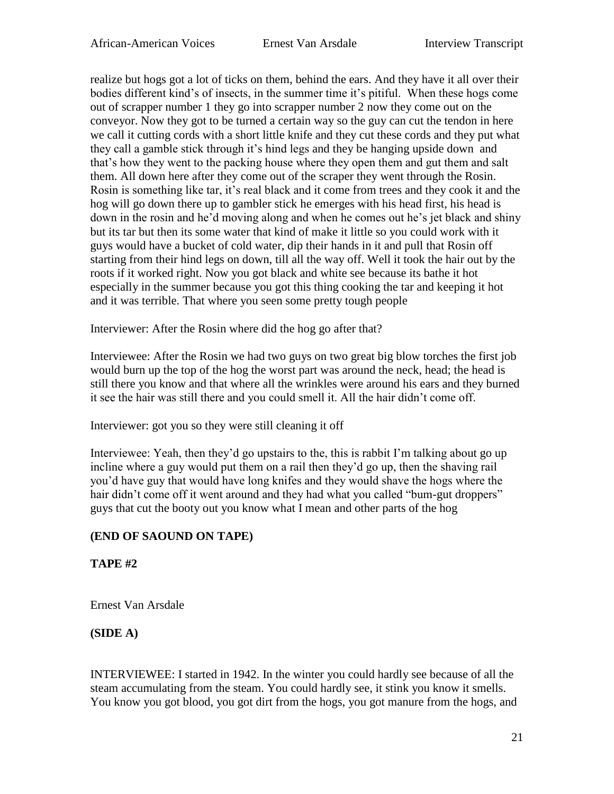realize but hogs got a lot of ticks on them, behind the ears. And they have it all over their bodies different kind's of insects, in the summer time it's pitiful. When these hogs come out of scrapper number 1 they go into scrapper number 2 now they come out on the conveyor. Now they got to be turned a certain way so the guy can cut the tendon in here we call it cutting cords with a short little knife and they cut these cords and they put what they call a gamble stick through it's hind legs and they be hanging upside down and that's how they went to the packing house where they open them and gut them and salt them. All down here after they come out of the scraper they went through the Rosin. Rosin is something like tar, it's real black and it come from trees and they cook it and the hog will go down there up to gambler stick he emerges with his head first, his head is down in the rosin and he'd moving along and when he comes out he's jet black and shiny but its tar but then its some water that kind of make it little so you could work with it guys would have a bucket of cold water, dip their hands in it and pull that Rosin off starting from their hind legs on down, till all the way off. Well it took the hair out by the roots if it worked right. Now you got black and white see because its bathe it hot especially in the summer because you got this thing cooking the tar and keeping it hot and it was terrible. That where you seen some pretty tough people

Interviewer: After the Rosin where did the hog go after that?

Interviewee: After the Rosin we had two guys on two great big blow torches the first job would burn up the top of the hog the worst part was around the neck, head; the head is still there you know and that where all the wrinkles were around his ears and they burned it see the hair was still there and you could smell it. All the hair didn't come off.

Interviewer: got you so they were still cleaning it off

Interviewee: Yeah, then they'd go upstairs to the, this is rabbit I'm talking about go up incline where a guy would put them on a rail then they'd go up, then the shaving rail you'd have guy that would have long knifes and they would shave the hogs where the hair didn't come off it went around and they had what you called "bum-gut droppers" guys that cut the booty out you know what I mean and other parts of the hog

## **(END OF SAOUND ON TAPE)**

**TAPE #2** 

Ernest Van Arsdale

## **(SIDE A)**

INTERVIEWEE: I started in 1942. In the winter you could hardly see because of all the steam accumulating from the steam. You could hardly see, it stink you know it smells. You know you got blood, you got dirt from the hogs, you got manure from the hogs, and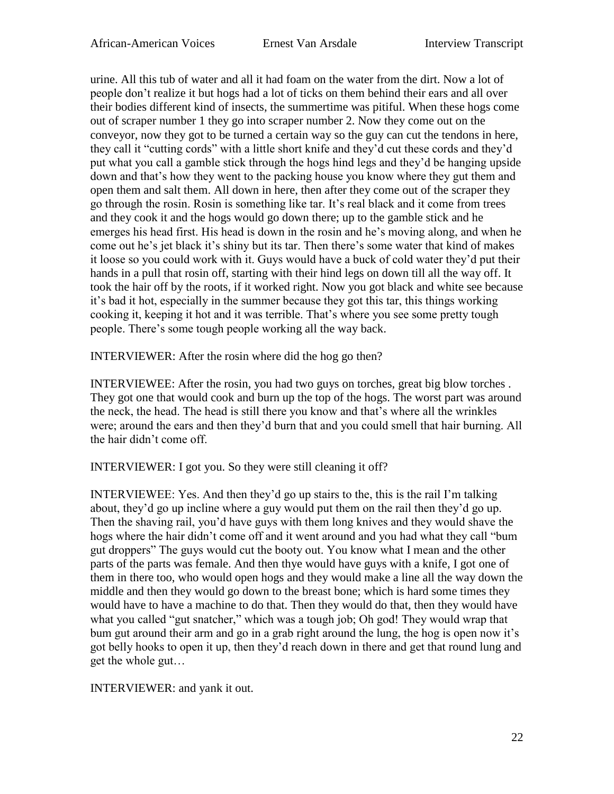urine. All this tub of water and all it had foam on the water from the dirt. Now a lot of people don't realize it but hogs had a lot of ticks on them behind their ears and all over their bodies different kind of insects, the summertime was pitiful. When these hogs come out of scraper number 1 they go into scraper number 2. Now they come out on the conveyor, now they got to be turned a certain way so the guy can cut the tendons in here, they call it "cutting cords" with a little short knife and they'd cut these cords and they'd put what you call a gamble stick through the hogs hind legs and they'd be hanging upside down and that's how they went to the packing house you know where they gut them and open them and salt them. All down in here, then after they come out of the scraper they go through the rosin. Rosin is something like tar. It's real black and it come from trees and they cook it and the hogs would go down there; up to the gamble stick and he emerges his head first. His head is down in the rosin and he's moving along, and when he come out he's jet black it's shiny but its tar. Then there's some water that kind of makes it loose so you could work with it. Guys would have a buck of cold water they'd put their hands in a pull that rosin off, starting with their hind legs on down till all the way off. It took the hair off by the roots, if it worked right. Now you got black and white see because it's bad it hot, especially in the summer because they got this tar, this things working cooking it, keeping it hot and it was terrible. That's where you see some pretty tough people. There's some tough people working all the way back.

INTERVIEWER: After the rosin where did the hog go then?

INTERVIEWEE: After the rosin, you had two guys on torches, great big blow torches . They got one that would cook and burn up the top of the hogs. The worst part was around the neck, the head. The head is still there you know and that's where all the wrinkles were; around the ears and then they'd burn that and you could smell that hair burning. All the hair didn't come off.

INTERVIEWER: I got you. So they were still cleaning it off?

INTERVIEWEE: Yes. And then they'd go up stairs to the, this is the rail I'm talking about, they'd go up incline where a guy would put them on the rail then they'd go up. Then the shaving rail, you'd have guys with them long knives and they would shave the hogs where the hair didn't come off and it went around and you had what they call "bum gut droppers" The guys would cut the booty out. You know what I mean and the other parts of the parts was female. And then thye would have guys with a knife, I got one of them in there too, who would open hogs and they would make a line all the way down the middle and then they would go down to the breast bone; which is hard some times they would have to have a machine to do that. Then they would do that, then they would have what you called "gut snatcher," which was a tough job; Oh god! They would wrap that bum gut around their arm and go in a grab right around the lung, the hog is open now it's got belly hooks to open it up, then they'd reach down in there and get that round lung and get the whole gut…

INTERVIEWER: and yank it out.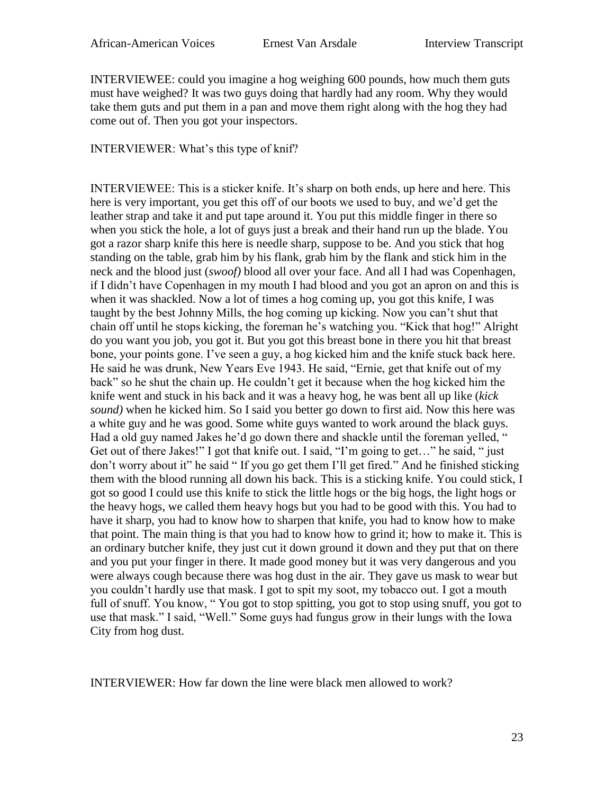INTERVIEWEE: could you imagine a hog weighing 600 pounds, how much them guts must have weighed? It was two guys doing that hardly had any room. Why they would take them guts and put them in a pan and move them right along with the hog they had come out of. Then you got your inspectors.

INTERVIEWER: What's this type of knif?

INTERVIEWEE: This is a sticker knife. It's sharp on both ends, up here and here. This here is very important, you get this off of our boots we used to buy, and we'd get the leather strap and take it and put tape around it. You put this middle finger in there so when you stick the hole, a lot of guys just a break and their hand run up the blade. You got a razor sharp knife this here is needle sharp, suppose to be. And you stick that hog standing on the table, grab him by his flank, grab him by the flank and stick him in the neck and the blood just (*swoof)* blood all over your face. And all I had was Copenhagen, if I didn't have Copenhagen in my mouth I had blood and you got an apron on and this is when it was shackled. Now a lot of times a hog coming up, you got this knife, I was taught by the best Johnny Mills, the hog coming up kicking. Now you can't shut that chain off until he stops kicking, the foreman he's watching you. "Kick that hog!" Alright do you want you job, you got it. But you got this breast bone in there you hit that breast bone, your points gone. I've seen a guy, a hog kicked him and the knife stuck back here. He said he was drunk, New Years Eve 1943. He said, "Ernie, get that knife out of my back" so he shut the chain up. He couldn't get it because when the hog kicked him the knife went and stuck in his back and it was a heavy hog, he was bent all up like (*kick sound)* when he kicked him. So I said you better go down to first aid. Now this here was a white guy and he was good. Some white guys wanted to work around the black guys. Had a old guy named Jakes he'd go down there and shackle until the foreman yelled, " Get out of there Jakes!" I got that knife out. I said, "I'm going to get..." he said, " just don't worry about it" he said " If you go get them I'll get fired." And he finished sticking them with the blood running all down his back. This is a sticking knife. You could stick, I got so good I could use this knife to stick the little hogs or the big hogs, the light hogs or the heavy hogs, we called them heavy hogs but you had to be good with this. You had to have it sharp, you had to know how to sharpen that knife, you had to know how to make that point. The main thing is that you had to know how to grind it; how to make it. This is an ordinary butcher knife, they just cut it down ground it down and they put that on there and you put your finger in there. It made good money but it was very dangerous and you were always cough because there was hog dust in the air. They gave us mask to wear but you couldn't hardly use that mask. I got to spit my soot, my tobacco out. I got a mouth full of snuff. You know, "You got to stop spitting, you got to stop using snuff, you got to use that mask." I said, "Well." Some guys had fungus grow in their lungs with the Iowa City from hog dust.

INTERVIEWER: How far down the line were black men allowed to work?